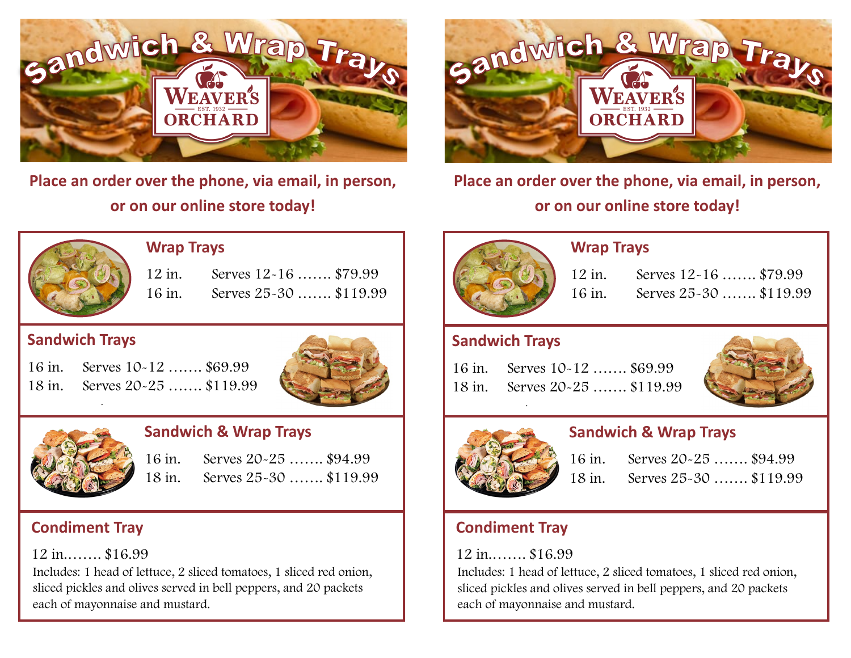

**Place an order over the phone, via email, in person, or on our online store today!**



**Place an order over the phone, via email, in person, or on our online store today!**



#### **Wrap Trays**

 12 in. Serves 12-16 ……. \$79.99 16 in. Serves 25-30 ……. \$119.99

## **Sandwich Trays**

16 in. Serves 10-12 ……. \$69.99 18 in. Serves 20-25 ……. \$119.99 .





## **Sandwich & Wrap Trays**

16 in. Serves 20-25 ……. \$94.99 18 in. Serves 25-30 ……. \$119.99

# **Condiment Tray**

12 in.……. \$16.99

Includes: 1 head of lettuce, 2 sliced tomatoes, 1 sliced red onion, sliced pickles and olives served in bell peppers, and 20 packets each of mayonnaise and mustard.



## **Wrap Trays**

 12 in. Serves 12-16 ……. \$79.99 16 in. Serves 25-30 ……. \$119.99

## **Sandwich Trays**

16 in. Serves 10-12 ……. \$69.99 18 in. Serves 20-25 ……. \$119.99 .





#### **Sandwich & Wrap Trays**

16 in. Serves 20-25 ……. \$94.99 18 in. Serves 25-30 ……. \$119.99

## **Condiment Tray**

### 12 in.……. \$16.99

Includes: 1 head of lettuce, 2 sliced tomatoes, 1 sliced red onion, sliced pickles and olives served in bell peppers, and 20 packets each of mayonnaise and mustard.